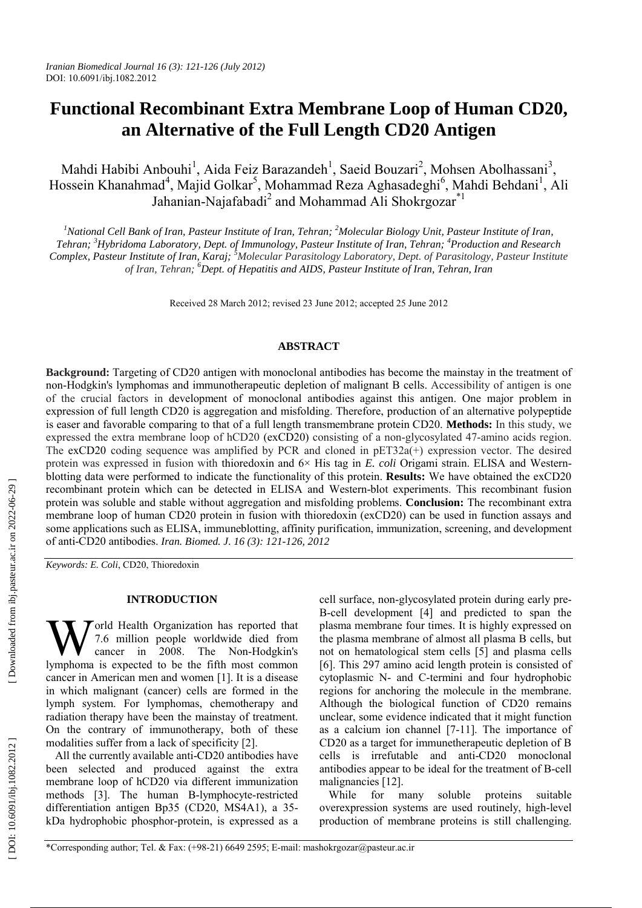# **Functional Recombinant Extra Membrane Loop of Human CD20, an Alternative of the Full Length CD20 Antigen**

Mahdi Habibi Anbouhi<sup>1</sup>, Aida Feiz Barazandeh<sup>1</sup>, Saeid Bouzari<sup>2</sup>, Mohsen Abolhassani<sup>3</sup>, Hossein Khanahmad<sup>4</sup>, Majid Golkar<sup>5</sup>, Mohammad Reza Aghasadeghi<sup>6</sup>, Mahdi Behdani<sup>1</sup>, Ali Jahanian-Najafabadi<sup>2</sup> and Mohammad Ali Shokrgozar<sup>\*1</sup>

<sup>1</sup>National Cell Bank of Iran, Pasteur Institute of Iran, Tehran; <sup>2</sup>Molecular Biology Unit, Pasteur Institute of Iran, *Tehran; 3 Hybridoma Laboratory, Dept. of Immunology, Pasteur Institute of Iran, Tehran; 4 Production and Research*  Complex, Pasteur Institute of Iran, Karaj; <sup>5</sup>Molecular Parasitology Laboratory, Dept. of Parasitology, Pasteur Institute *of Iran, Tehran; 6 Dept. of Hepatitis and AIDS, Pasteur Institute of Iran, Tehran, Iran*

Received 28 March 2012; revised 23 June 2012; accepted 25 June 2012

## **ABSTRACT**

**Background:** Targeting of CD20 antigen with monoclonal antibodies has become the mainstay in the treatment of non-Hodgkin's lymphomas and immunotherapeutic depletion of malignant B cells. Accessibility of antigen is one of the crucial factors in development of monoclonal antibodies against this antigen. One major problem in expression of full length CD20 is aggregation and misfolding. Therefore, production of an alternative polypeptide is easer and favorable comparing to that of a full length transmembrane protein CD20. **Methods:** In this study, we expressed the extra membrane loop of hCD20 (exCD20) consisting of a non-glycosylated 47-amino acids region. The exCD20 coding sequence was amplified by PCR and cloned in pET32a(+) expression vector. The desired protein was expressed in fusion with thioredoxin and 6× His tag in *E. coli* Origami strain. ELISA and Westernblotting data were performed to indicate the functionality of this protein. **Results:** We have obtained the exCD20 recombinant protein which can be detected in ELISA and Western-blot experiments. This recombinant fusion protein was soluble and stable without aggregation and misfolding problems. **Conclusion:** The recombinant extra membrane loop of human CD20 protein in fusion with thioredoxin (exCD20) can be used in function assays and some applications such as ELISA, immuneblotting, affinity purification, immunization, screening, and development of anti-CD20 antibodies. *Iran. Biomed. J. 16 (3): 121-126, 2012*

*Keywords: E. Coli*, CD20, Thioredoxin

## **INTRODUCTION**

 $\tau$ orld Health Organization has reported that 7.6 million people worldwide died from cancer in 2008. The Non-Hodgkin's **W** The Health Organization has reported that The Tom cancer in 2008. The Non-Hodgkin's lymphoma is expected to be the fifth most common cancer in American men and women [1]. It is a disease in which malignant (cancer) cells are formed in the lymph system. For lymphomas, chemotherapy and radiation therapy have been the mainstay of treatment. On the contrary of immunotherapy, both of these modalities suffer from a lack of specificity [2].

All the currently available anti-CD20 antibodies have been selected and produced against the extra membrane loop of hCD20 via different immunization methods [3]. The human B-lymphocyte-restricted differentiation antigen Bp35 (CD20, MS4A1), a 35 kDa hydrophobic phosphor-protein, is expressed as a cell surface, non-glycosylated protein during early pre-B-cell development [4] and predicted to span the plasma membrane four times. It is highly expressed on the plasma membrane of almost all plasma B cells, but not on hematological stem cells [5] and plasma cells [6]. This 297 amino acid length protein is consisted of cytoplasmic N- and C-termini and four hydrophobic regions for anchoring the molecule in the membrane. Although the biological function of CD20 remains unclear, some evidence indicated that it might function as a calcium ion channel [7-11]. The importance of CD20 as a target for immunetherapeutic depletion of B cells is irrefutable and anti-CD20 monoclonal antibodies appear to be ideal for the treatment of B-cell malignancies [12].

While for many soluble proteins suitable overexpression systems are used routinely, high-level production of membrane proteins is still challenging.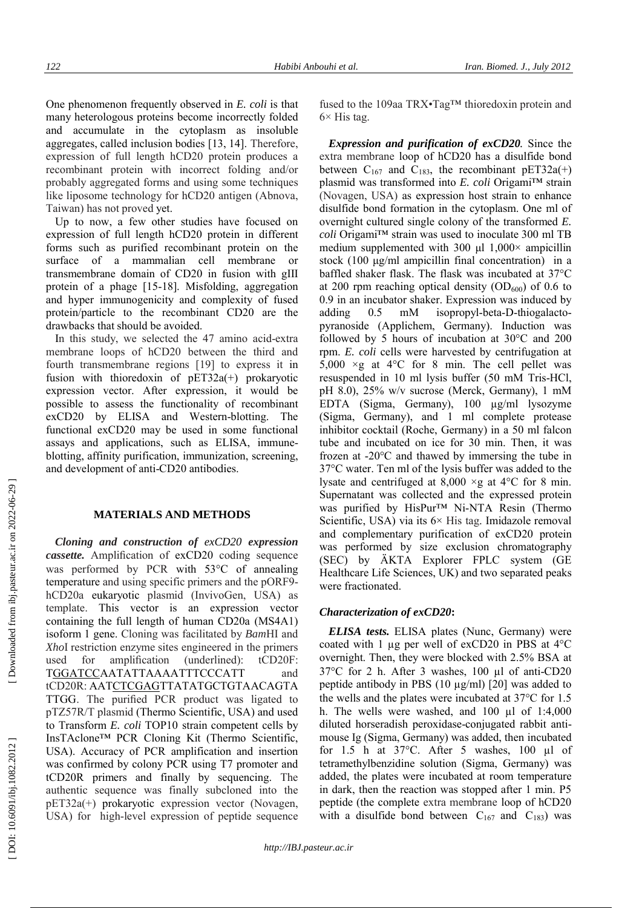One phenomenon frequently observed in *E. coli* is that many heterologous proteins become incorrectly folded and accumulate in the cytoplasm as insoluble aggregates, called inclusion bodies [13, 14]. Therefore, expression of full length hCD20 protein produces a recombinant protein with incorrect folding and/or probably aggregated forms and using some techniques like liposome technology for hCD20 antigen (Abnova, Taiwan) has not proved yet.

Up to now, a few other studies have focused on expression of full length hCD20 protein in different forms such as purified recombinant protein on the surface of a mammalian cell membrane or transmembrane domain of CD20 in fusion with gIII protein of a phage [15-18]. Misfolding, aggregation and hyper immunogenicity and complexity of fused protein/particle to the recombinant CD20 are the drawbacks that should be avoided. In this study, we selected the 47 amino acid-extra

membrane loops of hCD20 between the third and fourth transmembrane regions [19] to express it in fusion with thioredoxin of pET32a(+) prokaryotic expression vector. After expression, it would be possible to assess the functionality of recombinant exCD20 by ELISA and Western-blotting. The functional exCD20 may be used in some functional assays and applications, such as ELISA, immuneblotting, affinity purification, immunization, screening, and development of anti-CD20 antibodies.

# **MATERIALS AND METHODS**

*Cloning and construction of exCD20 expression cassette.* Amplification of exCD20 coding sequence was performed by PCR with 53 C of annealing temperature and using specific primers and the pORF9 hCD20a eukaryotic plasmid (InvivoGen, USA) as template. This vector is an expression vector containing the full length of human CD20a (MS4A1) isoform 1 gene. Cloning was facilitated by *Bam*HI and *Xho*I restriction enzyme sites engineered in the primers used for amplification (underlined): tCD20F: TGGATCCAATATTAAAATTTCCCATT and tCD20R: AATCTCGAGTTATATGCTGTAACAGTA TTGG. The purified PCR product was ligated to pTZ57R/T plasmid (Thermo Scientific, USA) and used to Transform *E. coli* TOP10 strain competent cells by InsTAclone™ PCR Cloning Kit (Thermo Scientific, USA). Accuracy of PCR amplification and insertion was confirmed by colony PCR using T7 promoter and tCD20R primers and finally by sequencing. The authentic sequence was finally subcloned into the pET32a(+) prokaryotic expression vector (Novagen, USA) for high-level expression of peptide sequence

fused to the 109aa TRX•Tag™ thioredoxin protein and  $6\times$  His tag.

*Expression and purification of exCD20.* Since the extra membrane loop of hCD20 has a disulfide bond between  $C_{167}$  and  $C_{183}$ , the recombinant pET32a(+) plasmid was transformed into *E. coli* Origami™ strain (Novagen, USA) as expression host strain to enhance disulfide bond formation in the cytoplasm. One ml of overnight cultured single colony of the transformed *E. coli* Origami™ strain was used to inoculate 300 ml TB medium supplemented with 300  $\mu$ l 1,000 $\times$  ampicillin stock (100 μg/ml ampicillin final concentration) in a baffled shaker flask. The flask was incubated at 37°C at 200 rpm reaching optical density  $(OD_{600})$  of 0.6 to 0.9 in an incubator shaker. Expression was induced by adding 0.5 mM isopropyl-beta-D-thiogalactopyranoside (Applichem, Germany). Induction was followed by 5 hours of incubation at 30°C and 200 rpm. *E. coli* cells were harvested by centrifugation at 5,000  $\times$ g at 4 $\degree$ C for 8 min. The cell pellet was resuspended in 10 ml lysis buffer (50 mM Tris-HCl, pH 8.0), 25% w/v sucrose (Merck, Germany), 1 mM EDTA (Sigma, Germany), 100 µg/ml lysozyme (Sigma, Germany), and 1 ml complete protease inhibitor cocktail (Roche, Germany) in a 50 ml falcon tube and incubated on ice for 30 min. Then, it was frozen at -20°C and thawed by immersing the tube in 37°C water. Ten ml of the lysis buffer was added to the lysate and centrifuged at 8,000 ×g at 4°C for 8 min. Supernatant was collected and the expressed protein was purified by HisPur™ Ni-NTA Resin (Thermo Scientific, USA) via its  $6 \times$  His tag. Imidazole removal and complementary purification of exCD20 protein was performed by size exclusion chromatography (SEC) by ÄKTA Explorer FPLC system (GE) Healthcare Life Sciences, UK) and two separated peaks were fractionated.

## *Characterization of exCD20* **:**

*ELISA tests.* ELISA plates (Nunc, Germany) were coated with 1  $\mu$ g per well of exCD20 in PBS at 4 $\degree$ C overnight. Then, they were blocked with 2.5% BSA at 37 C for 2 h. After 3 washes, 100 µl of anti-CD20 peptide antibody in PBS (10 µg/ml) [20] was added to the wells and the plates were incubated at 37 C for 1.5 h. The wells were washed, and 100 µl of 1:4,000 diluted horseradish peroxidase-conjugated rabbit antimouse Ig (Sigma, Germany) was added, then incubated for 1.5 h at 37°C. After 5 washes, 100 µl of tetramethylbenzidine solution (Sigma, Germany) was added, the plates were incubated at room temperature in dark, then the reaction was stopped after 1 min. P5 peptide (the complete extra membrane loop of hCD20 with a disulfide bond between  $C_{167}$  and  $C_{183}$ ) was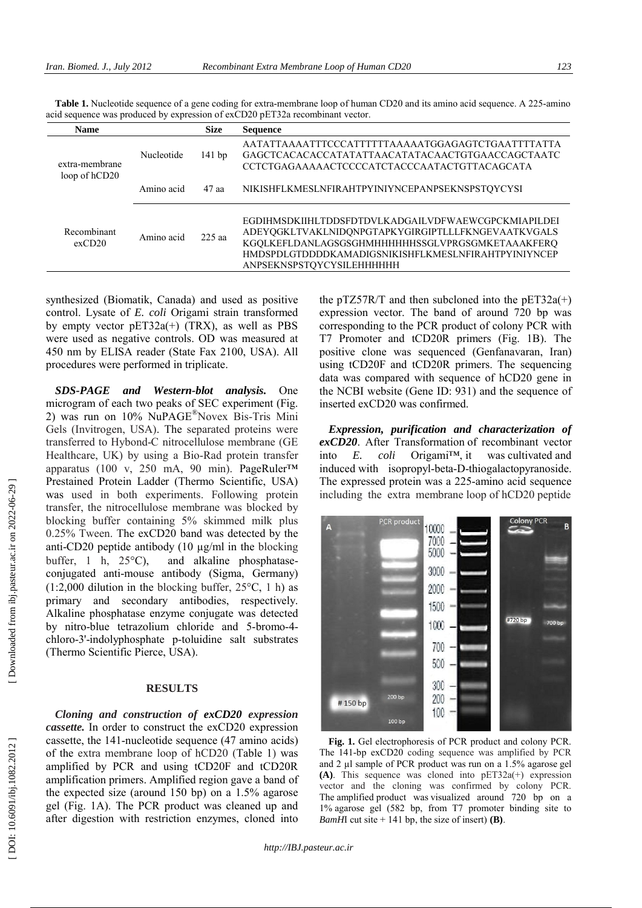| <b>Name</b>                     |            | <b>Size</b> | <b>Sequence</b>                                                                                                                                                                                                                                   |
|---------------------------------|------------|-------------|---------------------------------------------------------------------------------------------------------------------------------------------------------------------------------------------------------------------------------------------------|
| extra-membrane<br>loop of hCD20 | Nucleotide | 141bp       | AATATTAAAATTTCCCATTTTTAAAAATGGAGAGTCTGAATTTTATTA<br>GAGCTCACACACCATATATTAACATATACAACTGTGAACCAGCTAATC<br>CCTCTGAGAAAAACTCCCCATCTACCCAATACTGTTACAGCATA                                                                                              |
|                                 | Amino acid | 47 aa       | NIKISHFLKMESLNFIRAHTPYINIYNCEPANPSEKNSPSTQYCYSI                                                                                                                                                                                                   |
| Recombinant<br>exCD20           | Amino acid | $225$ aa    | EGDIHMSDKIIHLTDDSFDTDVLKADGAILVDFWAEWCGPCKMIAPILDEI<br>ADEYQGKLTVAKLNIDQNPGTAPKYGIRGIPTLLLFKNGEVAATKVGALS<br>KGQLKEFLDANLAGSGSGHMHHHHHHSSGLVPRGSGMKETAAAKFERQ<br>HMDSPDLGTDDDDKAMADIGSNIKISHFLKMESLNFIRAHTPYINIYNCEP<br>ANPSEKNSPSTOYCYSILEHHHHHH |

**Table 1.** Nucleotide sequence of a gene coding for extra-membrane loop of human CD20 and its amino acid sequence. A 225-amino acid sequence was produced by expression of exCD20 pET32a recombinant vector.

synthesized (Biomatik, Canada) and used as positive control. Lysate of *E. coli* Origami strain transformed by empty vector  $pET32a(+)$  (TRX), as well as PBS were used as negative controls. OD was measured at 450 nm by ELISA reader (State Fax 2100, USA). All procedures were performed in triplicate.

*SDS-PAGE and Western-blot analysis.* One microgram of each two peaks of SEC experiment (Fig. 2) was run on 10% NuPAGE ®Novex Bis-Tris Mini Gels (Invitrogen, USA). The separated proteins were transferred to Hybond-C nitrocellulose membrane (GE Healthcare, UK) by using a Bio-Rad protein transfer apparatus (100 v, 250 mA, 90 min). PageRuler™ Prestained Protein Ladder (Thermo Scientific, USA) was used in both experiments. Following protein transfer, the nitrocellulose membrane was blocked by blocking buffer containing 5% skimmed milk plus 0.25% Tween. The exCD20 band was detected by the anti-CD20 peptide antibody (10 µg/ml in the blocking buffer, 1 h,  $25^{\circ}$ C), and alkaline phosphataseconjugated anti-mouse antibody (Sigma, Germany)  $(1:2,000)$  dilution in the blocking buffer,  $25^{\circ}$ C, 1 h) as primary and secondary antibodies, respectively. Alkaline phosphatase enzyme conjugate was detected by nitro-blue tetrazolium chloride and 5-bromo-4 chloro-3'-indolyphosphate p-toluidine salt substrates (Thermo Scientific Pierce, USA).

# **RESULTS**

*Cloning and construction of exCD20 expression cassette.* In order to construct the exCD20 expression cassette, the 141-nucleotide sequence (47 amino acids) of the extra membrane loop of hCD20 (Table 1 ) was amplified by PCR and using tCD20F and tCD20R amplification primers. Amplified region gave a band of the expected size (around 150 bp) on a 1.5% agarose gel (Fig. 1A). The PCR product was cleaned up and after digestion with restriction enzymes, cloned into

the pTZ57R/T and then subcloned into the  $pET32a(+)$ expression vector. The band of around 720 bp was corresponding to the PCR product of colony PCR with T7 Promoter and tCD20R primers (Fig. 1B). The positive clone was sequenced (Genfanavaran, Iran) using tCD20F and tCD20R primers. The sequencing data was compared with sequence of hCD20 gene in the NCBI website (Gene ID: 931) and the sequence of inserted exCD20 was confirmed.

*Expression, purification and characterization of exCD20*. After Transformation of recombinant vector into *E. coli* Origami™, it was cultivated and induced with isopropyl-beta-D-thiogalactopyranoside. The expressed protein was a 225-amino acid sequence including the extra membrane loop of hCD20 peptide



**Fig. 1.** Gel electrophoresis of PCR product and colony PCR. The 141-bp exCD20 coding sequence was amplified by PCR and 2 µl sample of PCR product was run on a 1.5% agarose gel **(A)** . This sequence was cloned into pET32a(+) expression vector and the cloning was confirmed by colony PCR. The amplified product was visualized around 720 bp on a 1% agarose gel (582 bp, from T7 promoter binding site to *BamH*I cut site  $+ 141$  bp, the size of insert) **(B)**.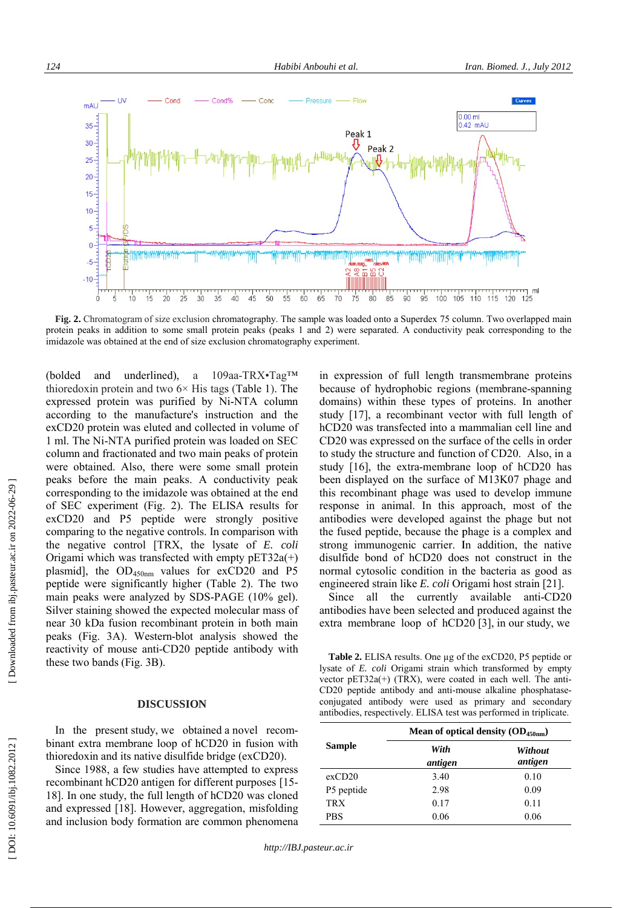

Fig. 2. Chromatogram of size exclusion chromatography. The sample was loaded onto a Superdex 75 column. Two overlapped main protein peaks in addition to some small protein peaks (peaks 1 and 2) were separated. A conductivity peak corresponding to the imidazole was obtained at the end of size exclusion chromatography experiment.

(bolded and underlined) , a 109aa-TRX•Tag™ thioredoxin protein and two  $6 \times$  His tags (Table 1). The expressed protein was purified by Ni-NTA column according to the manufacture's instruction and the exCD20 protein was eluted and collected in volume of<br>1 ml. The Ni-NTA purified protein was loaded on SEC column and fractionated and two main peaks of protein were obtained. Also, there were some small protein peaks before the main peaks. A conductivity peak corresponding to the imidazole was obtained at the end of SEC experiment ( Fig. 2). The ELISA results for exCD20 and P 5 peptide were strongly positive comparing to the negative controls. In comparison with exCD20 and P5 peptide were strongly positive<br>comparing to the negative controls. In comparison with<br>the negative control [TRX, the lysate of *E. coli* Origami which was transfected with empty  $pET32a(+)$ plasmid], the  $OD_{450nm}$  values for exCD20 and P5 peptide were significantly higher (Table 2). The two main peaks were analyzed by SDS-PAGE (10% gel). Silver staining showed the expected molecular mass of near 30 kDa fusion recombinant protein in both main peaks (Fig. 3 A ) . Western -blot analysis showed the peaks (Fig. 3A). Western-blot analysis showed the reactivity of mouse anti-CD20 peptide antibody with these two bands (Fig. 3 B). exCD20 protein was eluted and collected in volume of

#### **DISCUSSION**

In the present study, we obtained a novel recombinant extra membrane loop of hCD20 in fusion with thioredoxin and its native disulfide bridge (exCD20). thioredoxin and its native disulfide bridge (exCD20).

Since 1988, a few studies have attempted to expres s recombinant hCD20 antigen for different purposes [15 - 18]. In one study, the full length of hCD20 was cloned and expressed [18 ]. However, aggregation, misfolding and inclusion body formation are common phenomena

in expression of full length transmembrane proteins 1 2) were separated. A conductivity peak corresponding to the<br>xperiment.<br>in expression of full length transmembrane proteins<br>because of hydrophobic regions (membrane-spanning domains) within these types of proteins. In another study [17], a recombinant vector with full length of hCD20 was transfected into a mammalian cell line and CD20 was expressed on the surface of the cells in order to study the structure and function of CD20. Also, in a study [16], the extra-membrane loop of hCD20 has been displayed on the surface of M13K07 phage and this recombinant phage was used to develop immune this recombinant phage was used to develop immune response in animal. In this approach, most of the antibodies were developed against the phage but not the fused peptide, because the phage is a complex and strong immunogenic carrier. In addition, the native disulfide bond of hCD20 does not construct in the normal cytosolic condition in the bacteria as good as engineered strain like *E. coli* Origami host strain [21]. was transfected into a mammalian of<br>was expressed on the surface of the c<br>y the structure and function of CD20

Since all the currently available anti-CD20 antibodies have been selected and produced against the extra membrane loop of hCD20 [3], in our study, we extra membrane loop of hCD20 [3], in our study, we

**Table 2.** ELISA results. One  $\mu$ g of the exCD20, P5 peptide or lysate of *E. coli* Origami strain which transformed by empty vector pET32a(+) (TRX), were coated in each well. The anti-CD20 peptide antibody and anti-mouse alkaline phosphataseconjugated antibody were used as primary and secondary conjugated antibody were used as primary and secondary antibodies, respectively. ELISA test was performed in triplicate.

|               | Mean of optical density $OD_{450nm}$ ) |                    |  |
|---------------|----------------------------------------|--------------------|--|
| <b>Sample</b> | With<br>antigen                        | Without<br>antigen |  |
| exCD20        | 3.40                                   | 0.10               |  |
| P5 peptide    | 2.98                                   | 0.09               |  |
| <b>TRX</b>    | 0.17                                   | 0.11               |  |
| <b>PBS</b>    | 0.06                                   | 0.06               |  |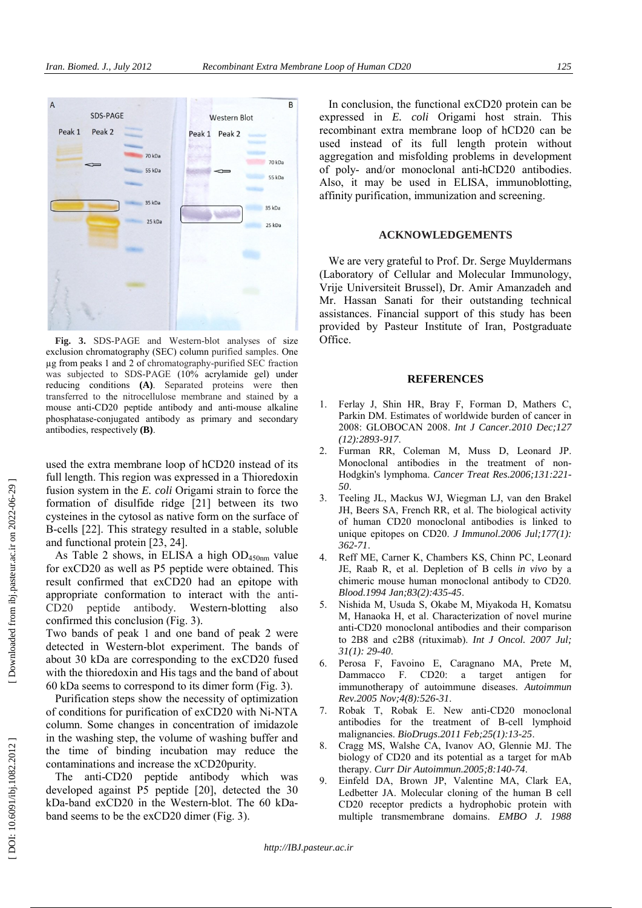

**Fig. 3.** SDS-PAGE and Western-blot analyses of size exclusion chromatography (SEC) column purified samples. One µg from peaks 1 and 2 of chromatography-purified SEC fraction was subjected to SDS-PAGE (10% acrylamide gel) under reducing conditions **(A)** . Separated proteins were then transferred to the nitrocellulose membrane and stained by a mouse anti-CD20 peptide antibody and anti-mouse alkaline phosphatase-conjugated antibody as primary and secondary antibodies, respectively **(B)** .

used the extra membrane loop of hCD20 instead of its full length. This region was expressed in a Thioredoxin fusion system in the *E. coli* Origami strain to force the formation of disulfide ridge [21] between its two cysteines in the cytosol as native form on the surface of B-cells [22]. This strategy resulted in a stable, soluble and functional protein [23, 24].

As Table 2 shows, in ELISA a high  $OD_{450nm}$  value for exCD20 as well as P5 peptide were obtained. This result confirmed that exCD20 had an epitope with appropriate conformation to interact with the anti-CD20 peptide antibody. Western-blotting also confirmed this conclusion (Fig. 3).

Two bands of peak 1 and one band of peak 2 were detected in Western-blot experiment. The bands of about 30 kDa are corresponding to the exCD20 fused with the thioredoxin and His tags and the band of about 60 kDa seems to correspond to its dimer form (Fig. 3).

Purification steps show the necessity of optimization of conditions for purification of exCD20 with Ni-NTA column. Some changes in concentration of imidazole in the washing step, the volume of washing buffer and the time of binding incubation may reduce the contaminations and increase the xCD20purity.

The anti-CD20 peptide antibody which was developed against P5 peptide [20], detected the 30 kDa-band exCD20 in the Western-blot. The 60 kDaband seems to be the exCD20 dimer (Fig. 3).

In conclusion, the functional exCD20 protein can be expressed in *E. coli* Origami host strain. This recombinant extra membrane loop of hCD20 can be used instead of its full length protein without aggregation and misfolding problems in development of poly- and/or monoclonal anti-hCD20 antibodies. Also, it may be used in ELISA, immunoblotting, affinity purification, immunization and screening.

# **ACKNOWLEDGEMENTS**

We are very grateful to Prof. Dr. Serge Muyldermans (Laboratory of Cellular and Molecular Immunology, Vrije Universiteit Brussel), Dr. Amir Amanzadeh and Mr. Hassan Sanati for their outstanding technical assistances. Financial support of this study has been provided by Pasteur Institute of Iran, Postgraduate Office.

#### **REFERENCES**

- 1. Ferlay J, Shin HR, Bray F, Forman D, Mathers C, Parkin DM. Estimates of worldwide burden of cancer in 2008: GLOBOCAN 2008. *Int J Cancer.2010 Dec;127 (12):2893-917*.
- 2. Furman RR, Coleman M, Muss D, Leonard JP. Monoclonal antibodies in the treatment of non-Hodgkin's lymphoma. *Cancer Treat Res.2006;131:221- 50* .
- 3. Teeling JL, Mackus WJ, Wiegman LJ, van den Brakel JH, Beers SA, French RR, et al. The biological activity of human CD20 monoclonal antibodies is linked to unique epitopes on CD20. *J Immunol.2006 Jul;177(1): 362-71* .
- 4. Reff ME, Carner K, Chambers KS, Chinn PC, Leonard JE, Raab R, et al. Depletion of B cells *in vivo* by a chimeric mouse human monoclonal antibody to CD20. *Blood.1994 Jan;83(2):435-45*.
- 5. Nishida M, Usuda S, Okabe M, Miyakoda H, Komatsu M, Hanaoka H, et al. Characterization of novel murine anti-CD20 monoclonal antibodies and their comparison to 2B8 and c2B8 (rituximab). *Int J Oncol. 2007 Jul; 31(1): 29-40*.
- 6. Perosa F, Favoino E, Caragnano MA, Prete M, Dammacco F. CD20: a target antigen for immunotherapy of autoimmune diseases. *Autoimmun Rev.2005 Nov;4(8):526-31*.
- 7. Robak T, Robak E. New anti-CD20 monoclonal antibodies for the treatment of B-cell lymphoid malignancies. *BioDrugs.2011 Feb;25(1):13-25* .
- 8. Cragg MS, Walshe CA, Ivanov AO, Glennie MJ. The biology of CD20 and its potential as a target for mAb therapy. *Curr Dir Autoimmun.2005;8:140-74*.
- 9. Einfeld DA, Brown JP, Valentine MA, Clark EA, Ledbetter JA. Molecular cloning of the human B cell CD20 receptor predicts a hydrophobic protein with multiple transmembrane domains. *EMBO J. 1988*